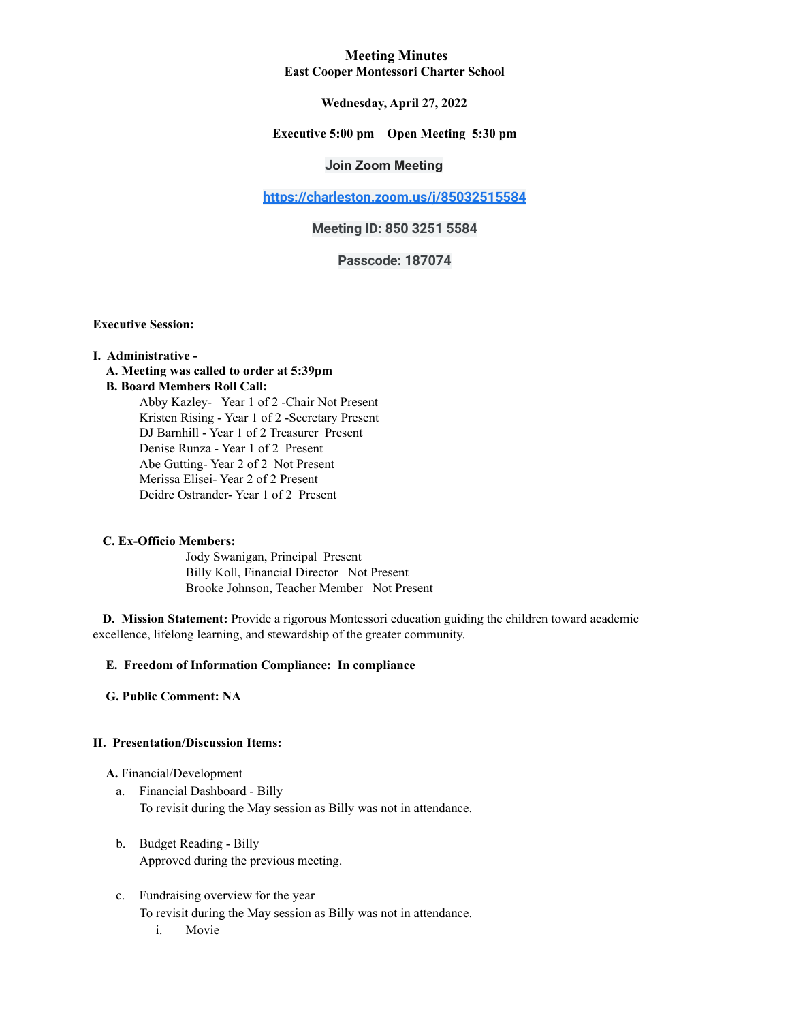### **Meeting Minutes East Cooper Montessori Charter School**

### **Wednesday, April 27, 2022**

### **Executive 5:00 pm Open Meeting 5:30 pm**

## **Join Zoom Meeting**

**<https://charleston.zoom.us/j/85032515584>**

## **Meeting ID: 850 3251 5584**

## **Passcode: 187074**

**Executive Session:**

#### **I. Administrative -**

# **A. Meeting was called to order at 5:39pm**

## **B. Board Members Roll Call:**

Abby Kazley- Year 1 of 2 -Chair Not Present Kristen Rising - Year 1 of 2 -Secretary Present DJ Barnhill - Year 1 of 2 Treasurer Present Denise Runza - Year 1 of 2 Present Abe Gutting- Year 2 of 2 Not Present Merissa Elisei- Year 2 of 2 Present Deidre Ostrander- Year 1 of 2 Present

#### **C. Ex-Officio Members:**

Jody Swanigan, Principal Present Billy Koll, Financial Director Not Present Brooke Johnson, Teacher Member Not Present

**D. Mission Statement:** Provide a rigorous Montessori education guiding the children toward academic excellence, lifelong learning, and stewardship of the greater community.

### **E. Freedom of Information Compliance: In compliance**

**G. Public Comment: NA**

#### **II. Presentation/Discussion Items:**

#### **A.** Financial/Development

- a. Financial Dashboard Billy To revisit during the May session as Billy was not in attendance.
- b. Budget Reading Billy Approved during the previous meeting.
- c. Fundraising overview for the year
	- To revisit during the May session as Billy was not in attendance.
		- i. Movie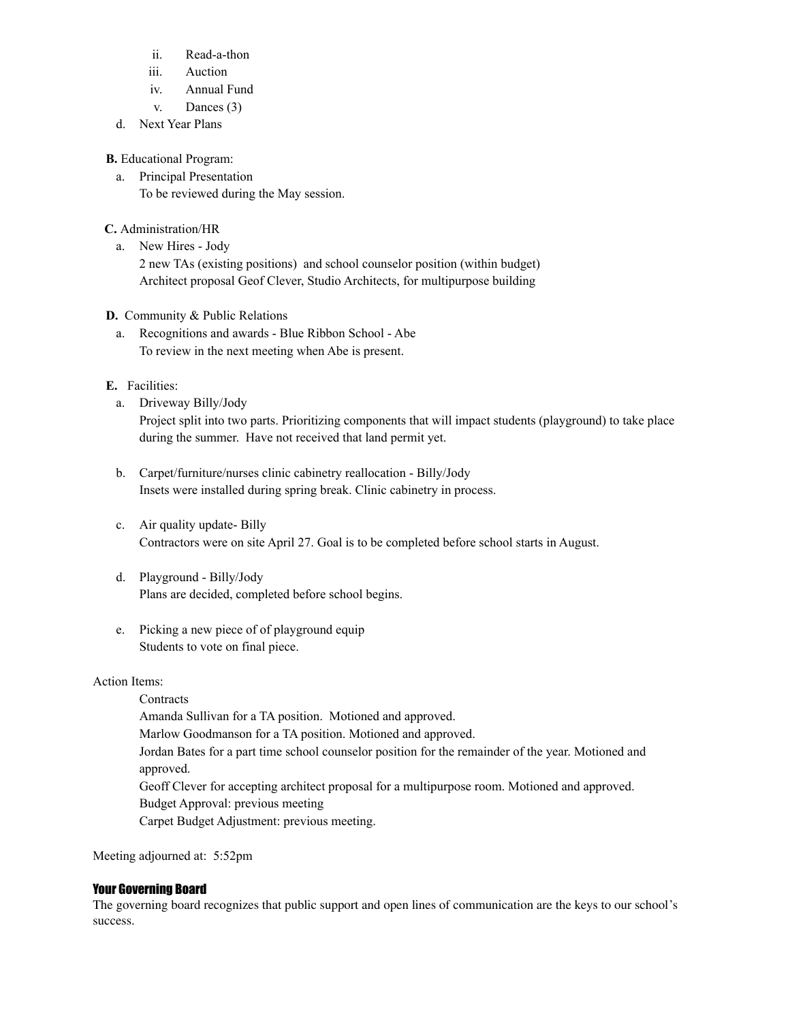- ii. Read-a-thon
- iii. Auction
- iv. Annual Fund
- v. Dances (3)
- d. Next Year Plans

**B.** Educational Program:

a. Principal Presentation To be reviewed during the May session.

## **C.** Administration/HR

a. New Hires - Jody

2 new TAs (existing positions) and school counselor position (within budget) Architect proposal Geof Clever, Studio Architects, for multipurpose building

## **D.** Community & Public Relations

a. Recognitions and awards - Blue Ribbon School - Abe To review in the next meeting when Abe is present.

## **E.** Facilities:

- a. Driveway Billy/Jody Project split into two parts. Prioritizing components that will impact students (playground) to take place during the summer. Have not received that land permit yet.
- b. Carpet/furniture/nurses clinic cabinetry reallocation Billy/Jody Insets were installed during spring break. Clinic cabinetry in process.
- c. Air quality update- Billy Contractors were on site April 27. Goal is to be completed before school starts in August.
- d. Playground Billy/Jody Plans are decided, completed before school begins.
- e. Picking a new piece of of playground equip Students to vote on final piece.

## Action Items:

**Contracts** Amanda Sullivan for a TA position. Motioned and approved. Marlow Goodmanson for a TA position. Motioned and approved. Jordan Bates for a part time school counselor position for the remainder of the year. Motioned and approved. Geoff Clever for accepting architect proposal for a multipurpose room. Motioned and approved. Budget Approval: previous meeting Carpet Budget Adjustment: previous meeting.

Meeting adjourned at: 5:52pm

## Your Governing Board

The governing board recognizes that public support and open lines of communication are the keys to our school's success.